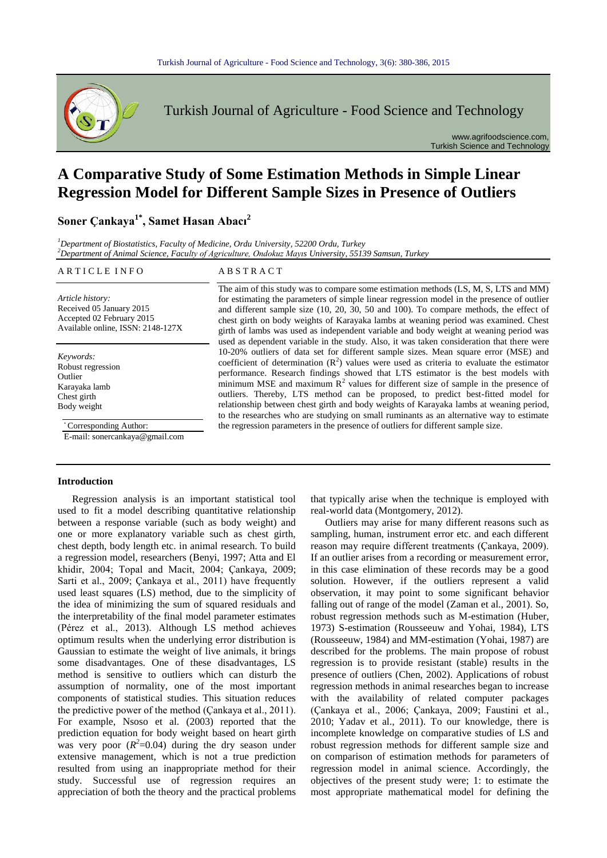

Turkish Journal of Agriculture - Food Science and Technology

www.agrifoodscience.com, Turkish Science and Technology

# **A Comparative Study of Some Estimation Methods in Simple Linear Regression Model for Different Sample Sizes in Presence of Outliers**

**Soner Çankaya1\* , Samet Hasan Abacı<sup>2</sup>**

*<sup>1</sup>Department of Biostatistics, Faculty of Medicine, Ordu University, 52200 Ordu, Turkey <sup>2</sup>Department of Animal Science, Faculty of Agriculture, Ondokuz Mayıs University, 55139 Samsun, Turkey*

#### ARTICLE INFO ABSTRACT

*Article history:* Received 05 January 2015 Accepted 02 February 2015 Available online, ISSN: 2148-127X

*Keywords:* Robust regression Outlier Karayaka lamb Chest girth Body weight

\* Corresponding Author:

E-mail: sonercankaya@gmail.com

## **Introduction**

Regression analysis is an important statistical tool used to fit a model describing quantitative relationship between a response variable (such as body weight) and one or more explanatory variable such as chest girth, chest depth, body length etc. in animal research. To build a regression model, researchers (Benyi, 1997; Atta and El khidir, 2004; Topal and Macit, 2004; Çankaya, 2009; Sarti et al., 2009; Çankaya et al., 2011) have frequently used least squares (LS) method, due to the simplicity of the idea of minimizing the sum of squared residuals and the interpretability of the final model parameter estimates (Pérez et al., 2013). Although LS method achieves optimum results when the underlying error distribution is Gaussian to estimate the weight of live animals, it brings some disadvantages. One of these disadvantages, LS method is sensitive to outliers which can disturb the assumption of normality, one of the most important components of statistical studies. This situation reduces the predictive power of the method (Çankaya et al., 2011). For example, Nsoso et al. (2003) reported that the prediction equation for body weight based on heart girth was very poor  $(R^2=0.04)$  during the dry season under extensive management, which is not a true prediction resulted from using an inappropriate method for their study. Successful use of regression requires an appreciation of both the theory and the practical problems Regression analys

The aim of this study was to compare some estimation methods (LS, M, S, LTS and MM) for estimating the parameters of simple linear regression model in the presence of outlier and different sample size (10, 20, 30, 50 and 100). To compare methods, the effect of chest girth on body weights of Karayaka lambs at weaning period was examined. Chest girth of lambs was used as independent variable and body weight at weaning period was used as dependent variable in the study. Also, it was taken consideration that there were 10-20% outliers of data set for different sample sizes. Mean square error (MSE) and coefficient of determination  $(R^2)$  values were used as criteria to evaluate the estimator performance. Research findings showed that LTS estimator is the best models with minimum MSE and maximum  $\mathbb{R}^2$  values for different size of sample in the presence of outliers. Thereby, LTS method can be proposed, to predict best-fitted model for relationship between chest girth and body weights of Karayaka lambs at weaning period, to the researches who are studying on small ruminants as an alternative way to estimate the regression parameters in the presence of outliers for different sample size.

> that typically arise when the technique is employed with real-world data (Montgomery, 2012).

> Outliers may arise for many different reasons such as sampling, human, instrument error etc. and each different reason may require different treatments (Çankaya, 2009). If an outlier arises from a recording or measurement error, in this case elimination of these records may be a good solution. However, if the outliers represent a valid observation, it may point to some significant behavior falling out of range of the model (Zaman et al., 2001). So, robust regression methods such as M-estimation (Huber, 1973) S-estimation (Rousseeuw and Yohai, 1984), LTS (Rousseeuw, 1984) and MM-estimation (Yohai, 1987) are described for the problems. The main propose of robust regression is to provide resistant (stable) results in the presence of outliers (Chen, 2002). Applications of robust regression methods in animal researches began to increase with the availability of related computer packages (Çankaya et al., 2006; Çankaya, 2009; Faustini et al., 2010; Yadav et al., 2011). To our knowledge, there is incomplete knowledge on comparative studies of LS and robust regression methods for different sample size and on comparison of estimation methods for parameters of regression model in animal science. Accordingly, the objectives of the present study were; 1: to estimate the most appropriate mathematical model for defining the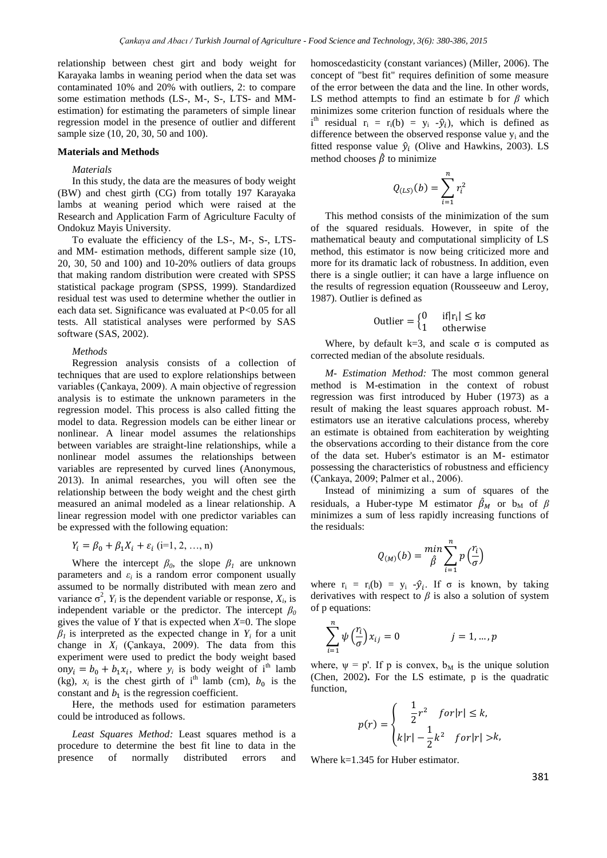relationship between chest girt and body weight for Karayaka lambs in weaning period when the data set was contaminated 10% and 20% with outliers, 2: to compare some estimation methods (LS-, M-, S-, LTS- and MMestimation) for estimating the parameters of simple linear regression model in the presence of outlier and different sample size (10, 20, 30, 50 and 100).

### **Materials and Methods**

#### *Materials*

In this study, the data are the measures of body weight (BW) and chest girth (CG) from totally 197 Karayaka lambs at weaning period which were raised at the Research and Application Farm of Agriculture Faculty of Ondokuz Mayis University.

To evaluate the efficiency of the LS-, M-, S-, LTSand MM- estimation methods, different sample size (10, 20, 30, 50 and 100) and 10-20% outliers of data groups that making random distribution were created with SPSS statistical package program (SPSS, 1999). Standardized residual test was used to determine whether the outlier in each data set. Significance was evaluated at P<0.05 for all tests. All statistical analyses were performed by SAS software (SAS, 2002).

#### *Methods*

Regression analysis consists of a collection of techniques that are used to explore relationships between variables (Çankaya, 2009). A main objective of regression analysis is to estimate the unknown parameters in the regression model. This process is also called fitting the model to data. Regression models can be either linear or nonlinear. A linear model assumes the relationships between variables are straight-line relationships, while a nonlinear model assumes the relationships between variables are represented by curved lines (Anonymous, 2013). In animal researches, you will often see the relationship between the body weight and the chest girth measured an animal modeled as a linear relationship. A linear regression model with one predictor variables can be expressed with the following equation:

$$
Y_i = \beta_0 + \beta_1 X_i + \varepsilon_i \ (i=1, 2, ..., n)
$$

Where the intercept  $\beta_0$ , the slope  $\beta_1$  are unknown parameters and  $\varepsilon_i$  is a random error component usually assumed to be normally distributed with mean zero and variance  $\sigma^2$ ,  $Y_i$  is the dependent variable or response,  $X_i$ , is independent variable or the predictor. The intercept  $\beta_0$ gives the value of  $Y$  that is expected when  $X=0$ . The slope  $\beta$ <sup>*I*</sup> is interpreted as the expected change in *Y<sub>i</sub>* for a unit change in  $X_i$  (Çankaya, 2009). The data from this experiment were used to predict the body weight based on  $y_i = b_0 + b_1 x_i$ , where  $y_i$  is body weight of i<sup>th</sup> lamb (kg),  $x_i$  is the chest girth of i<sup>th</sup> lamb (cm),  $b_0$  is the constant and  $b_1$  is the regression coefficient.

Here, the methods used for estimation parameters could be introduced as follows.

*Least Squares Method:* Least squares method is a procedure to determine the best fit line to data in the presence of normally distributed errors and homoscedasticity (constant variances) (Miller, 2006). The concept of "best fit" requires definition of some measure of the error between the data and the line. In other words, LS method attempts to find an estimate b for  $\beta$  which minimizes some criterion function of residuals where the  $i<sup>th</sup>$  residual  $r_i = r_i(b) = y_i - \hat{y}_i$ , which is defined as difference between the observed response value  $y_i$  and the fitted response value  $\hat{y}_i$  (Olive and Hawkins, 2003). LS method chooses  $\hat{\beta}$  to minimize

$$
Q_{(LS)}(b)=\sum_{i=1}^n r_i^2
$$

This method consists of the minimization of the sum of the squared residuals. However, in spite of the mathematical beauty and computational simplicity of LS method, this estimator is now being criticized more and more for its dramatic lack of robustness. In addition, even there is a single outlier; it can have a large influence on the results of regression equation (Rousseeuw and Leroy, 1987). Outlier is defined as

$$
0utlier = \begin{cases} 0 & if |r_i| \leq k\sigma \\ 1 & otherwise \end{cases}
$$

Where, by default k=3, and scale  $\sigma$  is computed as corrected median of the absolute residuals.

*M- Estimation Method:* The most common general method is M-estimation in the context of robust regression was first introduced by Huber (1973) as a result of making the least squares approach robust. Mestimators use an iterative calculations process, whereby an estimate is obtained from eachiteration by weighting the observations according to their distance from the core of the data set. Huber's estimator is an M- estimator possessing the characteristics of robustness and efficiency (Çankaya, 2009; Palmer et al., 2006).

Instead of minimizing a sum of squares of the residuals, a Huber-type M estimator  $\hat{\beta}_M$  or  $b_M$  of  $\beta$ minimizes a sum of less rapidly increasing functions of the residuals:

$$
Q_{(M)}(b) = \min_{\hat{\beta}} \sum_{i=1}^{n} p\left(\frac{r_i}{\sigma}\right)
$$

where  $r_i = r_i(b) = y_i - \hat{y}_i$ . If  $\sigma$  is known, by taking derivatives with respect to  $\beta$  is also a solution of system of p equations:

$$
\sum_{i=1}^{n} \psi\left(\frac{r_i}{\sigma}\right) x_{ij} = 0 \qquad j = 1, \dots, p
$$

where,  $\psi = p'$ . If p is convex,  $b_M$  is the unique solution (Chen, 2002)**.** For the LS estimate, p is the quadratic function,

$$
p(r) = \begin{cases} \frac{1}{2}r^2 & \text{for } |r| \le k, \\ k|r| - \frac{1}{2}k^2 & \text{for } |r| > k, \end{cases}
$$

Where k=1.345 for Huber estimator.

381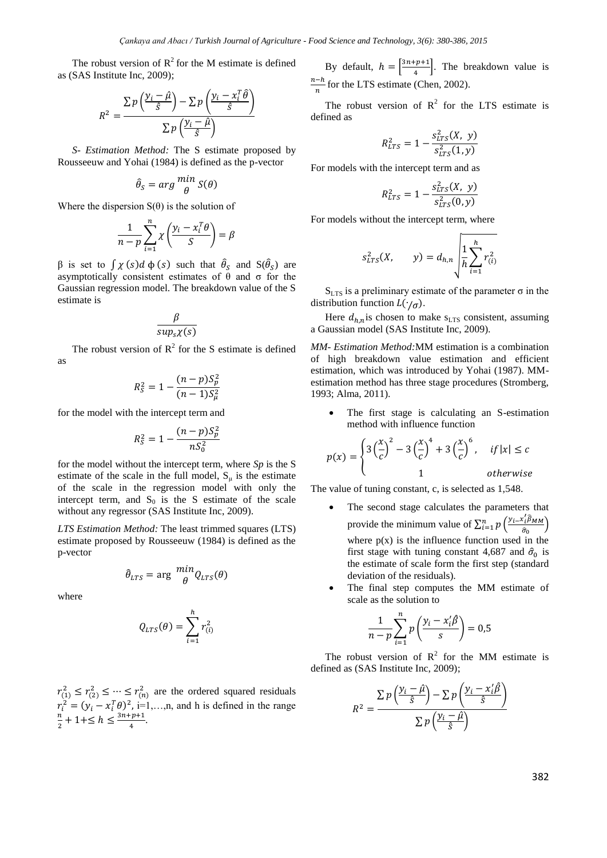The robust version of  $R^2$  for the M estimate is defined as (SAS Institute Inc, 2009);

$$
R^{2} = \frac{\sum p\left(\frac{y_{i} - \hat{\mu}}{\hat{s}}\right) - \sum p\left(\frac{y_{i} - x_{i}^{T}\hat{\theta}}{\hat{s}}\right)}{\sum p\left(\frac{y_{i} - \hat{\mu}}{\hat{s}}\right)}
$$

*S- Estimation Method:* The S estimate proposed by Rousseeuw and Yohai (1984) is defined as the p-vector

$$
\hat{\theta}_S = arg \frac{min}{\theta} S(\theta)
$$

Where the dispersion  $S(\theta)$  is the solution of

$$
\frac{1}{n-p}\sum_{i=1}^{n}\chi\left(\frac{y_i-x_i^T\theta}{S}\right)=\beta
$$

β is set to  $\int \chi(s) d \phi(s)$  such that  $\hat{\theta}_s$  and  $S(\hat{\theta}_s)$  are asymptotically consistent estimates of θ and σ for the Gaussian regression model. The breakdown value of the S estimate is

$$
\frac{\beta}{\sup_s \chi(s)}
$$

The robust version of  $R^2$  for the S estimate is defined as

$$
R_S^2 = 1 - \frac{(n-p)S_p^2}{(n-1)S_\mu^2}
$$

for the model with the intercept term and

$$
R_S^2 = 1 - \frac{(n-p)S_p^2}{nS_0^2}
$$

for the model without the intercept term, where *Sp* is the S estimate of the scale in the full model,  $S_{\mu}$  is the estimate of the scale in the regression model with only the intercept term, and  $S_0$  is the S estimate of the scale without any regressor (SAS Institute Inc, 2009).

*LTS Estimation Method:* The least trimmed squares (LTS) estimate proposed by Rousseeuw (1984) is defined as the p-vector

$$
\hat{\theta}_{LTS} = \arg \frac{min}{\theta} Q_{LTS}(\theta)
$$

where

$$
Q_{LTS}(\theta) = \sum_{i=1}^h r_{(i)}^2
$$

 $r_{(1)}^2 \le r_{(2)}^2 \le \cdots \le r_{(n)}^2$  are the ordered squared residuals  $r_i^2 = (y_i - x_i^T \theta)^2$ , i=1,...,n, and h is defined in the range  $n_{i+1}$  $\frac{n}{2}+1+\leq h\leq \frac{3n+p+1}{4}$  $\frac{p+1}{4}$ .

By default,  $h = \frac{3n+p+1}{4}$  $\left(\frac{p+1}{4}\right)$ . The breakdown value is  $n-h$  $\frac{-n}{n}$  for the LTS estimate (Chen, 2002).

The robust version of  $R^2$  for the LTS estimate is defined as

$$
R_{LTS}^2 = 1 - \frac{s_{LTS}^2(X, y)}{s_{LTS}^2(1, y)}
$$

For models with the intercept term and as

$$
R_{LTS}^2 = 1 - \frac{s_{LTS}^2(X, y)}{s_{LTS}^2(0, y)}
$$

For models without the intercept term, where

$$
s_{LTS}^2(X, \t y) = d_{h,n} \sqrt{\frac{1}{h} \sum_{i=1}^{h} r_{(i)}^2}
$$

 $S<sub>LTS</sub>$  is a preliminary estimate of the parameter  $\sigma$  in the distribution function  $\vec{L}(\cdot/\sigma)$ .

Here  $d_{h,n}$  is chosen to make s<sub>LTS</sub> consistent, assuming a Gaussian model (SAS Institute Inc, 2009).

*MM- Estimation Method:*MM estimation is a combination of high breakdown value estimation and efficient estimation, which was introduced by Yohai (1987). MMestimation method has three stage procedures (Stromberg, 1993; Alma, 2011).

 The first stage is calculating an S-estimation method with influence function

$$
p(x) = \begin{cases} 3\left(\frac{x}{c}\right)^2 - 3\left(\frac{x}{c}\right)^4 + 3\left(\frac{x}{c}\right)^6, & if |x| \le c \\ 1 & otherwise \end{cases}
$$

The value of tuning constant, c, is selected as 1,548.

- The second stage calculates the parameters that provide the minimum value of  $\sum_{i=1}^{n} p\left(\frac{y_i - x_i^T \hat{\beta}_{MM}}{2}\right)$  $\sum_{i=1}^n p\left(\frac{y_i x_i \beta_{MM}}{\hat{\sigma}_0}\right)$ where  $p(x)$  is the influence function used in the first stage with tuning constant 4,687 and  $\hat{\sigma}_0$  is the estimate of scale form the first step (standard deviation of the residuals).
- The final step computes the MM estimate of scale as the solution to

$$
\frac{1}{n-p}\sum_{i=1}^{n}p\left(\frac{y_i-x_i'\hat{\beta}}{s}\right)=0,5
$$

The robust version of  $\mathbb{R}^2$  for the MM estimate is defined as (SAS Institute Inc, 2009);

$$
R^{2} = \frac{\sum p\left(\frac{y_{i} - \hat{\mu}}{\hat{s}}\right) - \sum p\left(\frac{y_{i} - x_{i}^{\prime}\hat{\beta}}{\hat{s}}\right)}{\sum p\left(\frac{y_{i} - \hat{\mu}}{\hat{s}}\right)}
$$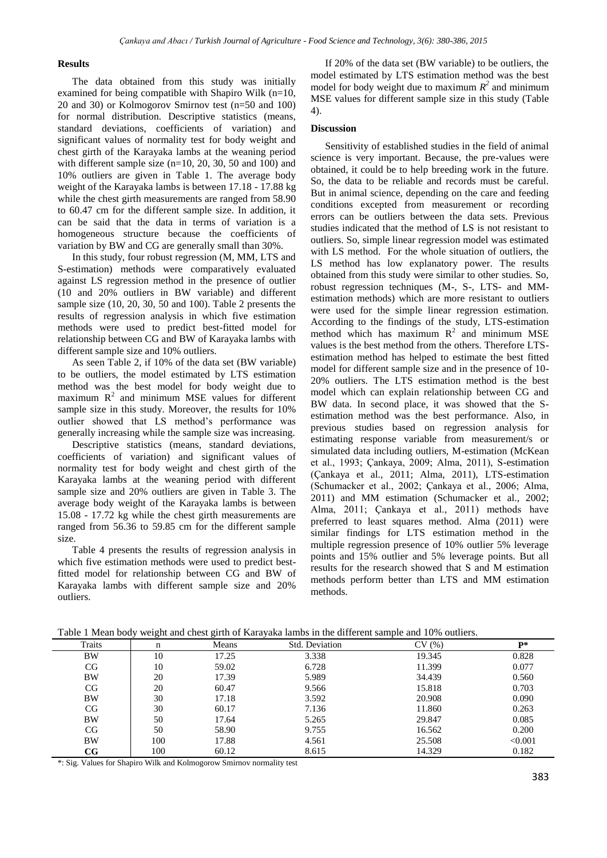### **Results**

The data obtained from this study was initially examined for being compatible with Shapiro Wilk (n=10, 20 and 30) or Kolmogorov Smirnov test (n=50 and 100) for normal distribution. Descriptive statistics (means, standard deviations, coefficients of variation) and significant values of normality test for body weight and chest girth of the Karayaka lambs at the weaning period with different sample size (n=10, 20, 30, 50 and 100) and 10% outliers are given in Table 1. The average body weight of the Karayaka lambs is between 17.18 - 17.88 kg while the chest girth measurements are ranged from 58.90 to 60.47 cm for the different sample size. In addition, it can be said that the data in terms of variation is a homogeneous structure because the coefficients of variation by BW and CG are generally small than 30%.

In this study, four robust regression (M, MM, LTS and S-estimation) methods were comparatively evaluated against LS regression method in the presence of outlier (10 and 20% outliers in BW variable) and different sample size (10, 20, 30, 50 and 100). Table 2 presents the results of regression analysis in which five estimation methods were used to predict best-fitted model for relationship between CG and BW of Karayaka lambs with different sample size and 10% outliers.

As seen Table 2, if 10% of the data set (BW variable) to be outliers, the model estimated by LTS estimation method was the best model for body weight due to maximum  $R<sup>2</sup>$  and minimum MSE values for different sample size in this study. Moreover, the results for 10% outlier showed that LS method's performance was generally increasing while the sample size was increasing.

Descriptive statistics (means, standard deviations, coefficients of variation) and significant values of normality test for body weight and chest girth of the Karayaka lambs at the weaning period with different sample size and 20% outliers are given in Table 3. The average body weight of the Karayaka lambs is between 15.08 - 17.72 kg while the chest girth measurements are ranged from 56.36 to 59.85 cm for the different sample size.

Table 4 presents the results of regression analysis in which five estimation methods were used to predict bestfitted model for relationship between CG and BW of Karayaka lambs with different sample size and 20% outliers.

If 20% of the data set (BW variable) to be outliers, the model estimated by LTS estimation method was the best model for body weight due to maximum  $R^2$  and minimum MSE values for different sample size in this study (Table 4).

### **Discussion**

Sensitivity of established studies in the field of animal science is very important. Because, the pre-values were obtained, it could be to help breeding work in the future. So, the data to be reliable and records must be careful. But in animal science, depending on the care and feeding conditions excepted from measurement or recording errors can be outliers between the data sets. Previous studies indicated that the method of LS is not resistant to outliers. So, simple linear regression model was estimated with LS method. For the whole situation of outliers, the LS method has low explanatory power. The results obtained from this study were similar to other studies. So, robust regression techniques (M-, S-, LTS- and MMestimation methods) which are more resistant to outliers were used for the simple linear regression estimation. According to the findings of the study, LTS-estimation method which has maximum  $R^2$  and minimum MSE values is the best method from the others. Therefore LTSestimation method has helped to estimate the best fitted model for different sample size and in the presence of 10- 20% outliers. The LTS estimation method is the best model which can explain relationship between CG and BW data. In second place, it was showed that the Sestimation method was the best performance. Also, in previous studies based on regression analysis for estimating response variable from measurement/s or simulated data including outliers, M-estimation (McKean et al., 1993; Çankaya, 2009; Alma, 2011), S-estimation (Çankaya et al., 2011; Alma, 2011), LTS-estimation (Schumacker et al., 2002; Çankaya et al., 2006; Alma, 2011) and MM estimation (Schumacker et al., 2002; Alma, 2011; Çankaya et al., 2011) methods have preferred to least squares method. Alma (2011) were similar findings for LTS estimation method in the multiple regression presence of 10% outlier 5% leverage points and 15% outlier and 5% leverage points. But all results for the research showed that S and M estimation methods perform better than LTS and MM estimation methods.

|        | ັ   | $\tilde{\phantom{a}}$ | -              |        |                |
|--------|-----|-----------------------|----------------|--------|----------------|
| Traits | n   | Means                 | Std. Deviation | CV(%)  | $\mathbf{p} *$ |
| BW     | 10  | 17.25                 | 3.338          | 19.345 | 0.828          |
| CG     | 10  | 59.02                 | 6.728          | 11.399 | 0.077          |
| BW     | 20  | 17.39                 | 5.989          | 34.439 | 0.560          |
| CG     | 20  | 60.47                 | 9.566          | 15.818 | 0.703          |
| BW     | 30  | 17.18                 | 3.592          | 20.908 | 0.090          |
| CG     | 30  | 60.17                 | 7.136          | 11.860 | 0.263          |
| BW     | 50  | 17.64                 | 5.265          | 29.847 | 0.085          |
| CG     | 50  | 58.90                 | 9.755          | 16.562 | 0.200          |
| BW     | 100 | 17.88                 | 4.561          | 25.508 | < 0.001        |
| CG     | 100 | 60.12                 | 8.615          | 14.329 | 0.182          |

Table 1 Mean body weight and chest girth of Karayaka lambs in the different sample and 10% outliers.

\*: Sig. Values for Shapiro Wilk and Kolmogorow Smirnov normality test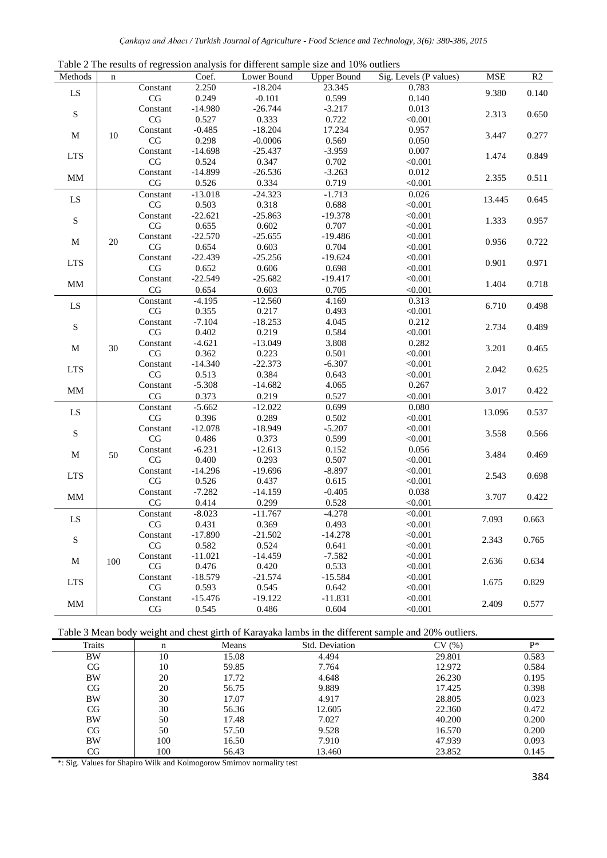|                   |           |                |                    | Table 2 The results of regression analysis for unferent sample size and 10% outliers |                    |                        |             |                |
|-------------------|-----------|----------------|--------------------|--------------------------------------------------------------------------------------|--------------------|------------------------|-------------|----------------|
| Methods           | n         |                | Coef.              | Lower Bound                                                                          | <b>Upper Bound</b> | Sig. Levels (P values) | ${\bf MSE}$ | R <sub>2</sub> |
| ${\rm LS}$        |           | Constant       | 2.250              | $-18.204$                                                                            | 23.345             | 0.783                  | 9.380       | 0.140          |
|                   |           | CG             | 0.249              | $-0.101$                                                                             | 0.599              | 0.140                  |             |                |
| ${\bf S}$         | Constant  | $-14.980$      | $-26.744$          | $-3.217$                                                                             | 0.013              | 2.313                  | 0.650       |                |
|                   | $\rm{CG}$ | 0.527          | 0.333              | 0.722                                                                                | < 0.001            |                        |             |                |
| $\mathbf M$       | $10\,$    | Constant       | $-0.485$           | $-18.204$                                                                            | 17.234             | 0.957                  | 3.447       | 0.277          |
|                   |           | CG             | 0.298              | $-0.0006$                                                                            | 0.569              | 0.050                  |             |                |
| <b>LTS</b>        |           | Constant       | $-14.698$          | $-25.437$                                                                            | $-3.959$           | 0.007                  | 1.474       | 0.849          |
|                   |           | CG             | 0.524              | 0.347                                                                                | 0.702              | < 0.001                |             |                |
| $\mbox{MM}$       |           | Constant       | $-14.899$          | $-26.536$                                                                            | $-3.263$           | 0.012                  | 2.355       | 0.511          |
|                   |           | CG             | 0.526              | 0.334                                                                                | 0.719              | < 0.001                |             |                |
| ${\rm LS}$        |           | Constant       | $-13.018$          | $-24.323$                                                                            | $-1.713$           | 0.026                  | 13.445      | 0.645          |
|                   |           | $\rm CG$       | 0.503              | 0.318                                                                                | 0.688              | < 0.001                |             |                |
| ${\bf S}$         |           | Constant       | $-22.621$          | $-25.863$                                                                            | $-19.378$          | < 0.001                |             |                |
|                   |           | CG             | 0.655              | 0.602                                                                                | 0.707              | < 0.001                | 1.333       | 0.957          |
|                   |           | Constant       | $-22.570$          | $-25.655$                                                                            | $-19.486$          | < 0.001                |             |                |
| $\mathbf M$       | 20        | $\rm CG$       | 0.654              | 0.603                                                                                | 0.704              | < 0.001                | 0.956       | 0.722          |
|                   |           | Constant       | $-22.439$          | $-25.256$                                                                            | $-19.624$          | < 0.001                |             |                |
| <b>LTS</b>        |           | CG             | 0.652              | 0.606                                                                                | 0.698              | < 0.001                | 0.901       | 0.971          |
|                   |           | Constant       | $-22.549$          | $-25.682$                                                                            | $-19.417$          | < 0.001                |             |                |
| $\mbox{MM}$       |           | $\rm{CG}$      | 0.654              | 0.603                                                                                | 0.705              | < 0.001                | 1.404       | 0.718          |
|                   |           | Constant       | $-4.195$           | $-12.560$                                                                            | 4.169              | 0.313                  |             |                |
| LS                |           | CG             | 0.355              | 0.217                                                                                | 0.493              | < 0.001                | 6.710       | 0.498          |
|                   |           | Constant       | $-7.104$           | $-18.253$                                                                            | 4.045              | 0.212                  | 2.734       |                |
| $\mathbf S$       |           | $\rm CG$       | 0.402              | 0.219                                                                                | 0.584              | < 0.001                |             | 0.489          |
|                   |           | Constant       | $-4.621$           | $-13.049$                                                                            | 3.808              | 0.282                  |             |                |
| $\mathbf M$       | 30        | $\rm CG$       | 0.362              | 0.223                                                                                | 0.501              | < 0.001                | 3.201       | 0.465          |
|                   |           | Constant       | $-14.340$          | $-22.373$                                                                            | $-6.307$           | < 0.001                |             |                |
| <b>LTS</b>        |           | $\rm CG$       | 0.513              | 0.384                                                                                | 0.643              | < 0.001                | 2.042       | 0.625          |
|                   |           | Constant       | $-5.308$           | $-14.682$                                                                            | 4.065              | 0.267                  |             |                |
| $\mbox{MM}$       |           | CG             | 0.373              | 0.219                                                                                | 0.527              | < 0.001                | 3.017       | 0.422          |
|                   |           | Constant       | $-5.662$           | $-12.022$                                                                            | 0.699              | 0.080                  |             |                |
| ${\rm LS}$        |           | CG             | 0.396              | 0.289                                                                                | 0.502              | < 0.001                | 13.096      | 0.537          |
|                   |           | Constant       | $-12.078$          | $-18.949$                                                                            | $-5.207$           | < 0.001                |             |                |
| $\mathbf S$       |           | $\rm CG$       | 0.486              | 0.373                                                                                | 0.599              | < 0.001                | 3.558       | 0.566          |
|                   |           |                | $-6.231$           | $-12.613$                                                                            | 0.152              |                        |             |                |
| $\mathbf M$       | 50        | Constant<br>CG | 0.400              | 0.293                                                                                | 0.507              | 0.056<br>< 0.001       | 3.484       | 0.469          |
|                   |           |                |                    |                                                                                      |                    |                        |             |                |
| <b>LTS</b>        |           | Constant       | $-14.296$          | $-19.696$                                                                            | $-8.897$<br>0.615  | < 0.001                | 2.543       | 0.698          |
|                   | CG        | 0.526          | 0.437<br>$-14.159$ |                                                                                      | < 0.001            |                        |             |                |
| $\mbox{MM}$       |           | Constant       | $-7.282$           |                                                                                      | $-0.405$           | 0.038                  | 3.707       | 0.422          |
|                   |           | CG             | 0.414              | 0.299                                                                                | 0.528              | < 0.001                |             |                |
| LS<br>${\bf S}$   |           | Constant       | $-8.023$           | $-11.767$                                                                            | $-4.278$           | < 0.001                | 7.093       | 0.663          |
|                   |           | CG             | 0.431              | 0.369                                                                                | 0.493              | < 0.001                |             |                |
|                   |           | Constant       | $-17.890$          | $-21.502$                                                                            | $-14.278$          | < 0.001                | 2.343       | 0.765          |
|                   |           | CG             | 0.582              | 0.524                                                                                | 0.641              | < 0.001                |             |                |
| M                 | 100       | Constant       | $-11.021$          | $-14.459$                                                                            | $-7.582$           | < 0.001                | 2.636       | 0.634          |
|                   |           | $\rm CG$       | 0.476              | 0.420                                                                                | 0.533              | < 0.001                |             |                |
| <b>LTS</b>        |           | Constant       | $-18.579$          | $-21.574$                                                                            | $-15.584$          | < 0.001                | 1.675       | 0.829          |
|                   |           | $\rm CG$       | 0.593              | 0.545                                                                                | 0.642              | < 0.001                |             |                |
| $\mathop{\rm MM}$ |           | Constant       | $-15.476$          | $-19.122$                                                                            | $-11.831$          | < 0.001                | 2.409       | 0.577          |
|                   |           | CG             | 0.545              | 0.486                                                                                | 0.604              | < 0.001                |             |                |

Table 2 The results of regression analysis for different sample size and 10% outliers

Table 3 Mean body weight and chest girth of Karayaka lambs in the different sample and 20% outliers.

| . .       |     | $-$   |                | $\sim$ |                |
|-----------|-----|-------|----------------|--------|----------------|
| Traits    | n   | Means | Std. Deviation | CV(%)  | $\mathbf{p} *$ |
| BW        | 10  | 15.08 | 4.494          | 29.801 | 0.583          |
| CG        | 10  | 59.85 | 7.764          | 12.972 | 0.584          |
| <b>BW</b> | 20  | 17.72 | 4.648          | 26.230 | 0.195          |
| CG        | 20  | 56.75 | 9.889          | 17.425 | 0.398          |
| BW        | 30  | 17.07 | 4.917          | 28.805 | 0.023          |
| CG        | 30  | 56.36 | 12.605         | 22.360 | 0.472          |
| BW        | 50  | 17.48 | 7.027          | 40.200 | 0.200          |
| CG        | 50  | 57.50 | 9.528          | 16.570 | 0.200          |
| BW        | 100 | 16.50 | 7.910          | 47.939 | 0.093          |
| CG        | 100 | 56.43 | 13.460         | 23.852 | 0.145          |
|           |     |       |                |        |                |

\*: Sig. Values for Shapiro Wilk and Kolmogorow Smirnov normality test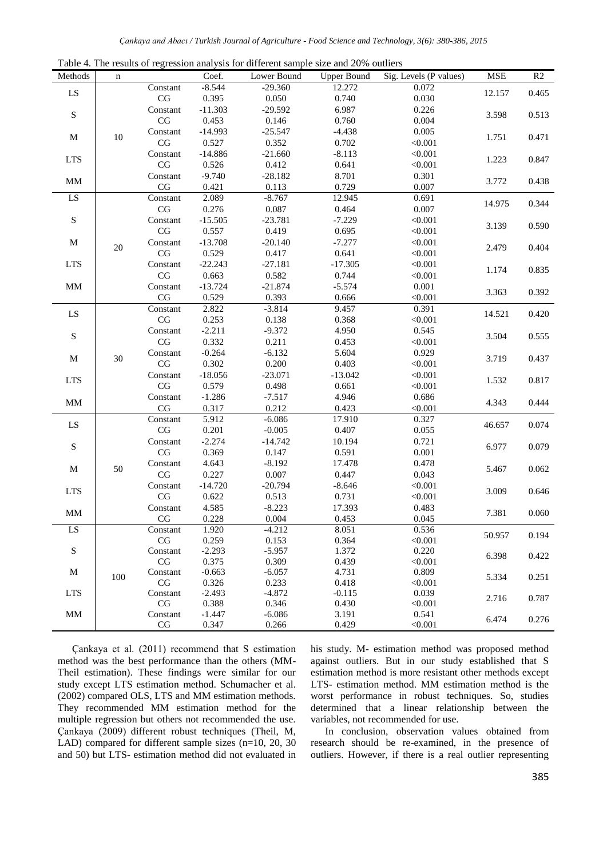| Table 4. The results of regression analysis for different sample size and 20% outliers |          |                                    |                   |                    |                    |                        |                 |                         |
|----------------------------------------------------------------------------------------|----------|------------------------------------|-------------------|--------------------|--------------------|------------------------|-----------------|-------------------------|
| Methods                                                                                | n        |                                    | Coef.             | Lower Bound        | <b>Upper Bound</b> | Sig. Levels (P values) | <b>MSE</b>      | R2                      |
|                                                                                        |          | Constant                           | $-8.544$          | $-29.360$          | 12.272             | 0.072                  |                 |                         |
| LS                                                                                     |          | $\rm CG$                           | 0.395             | 0.050              | 0.740              | 0.030                  | 12.157          | 0.465                   |
| ${\bf S}$                                                                              | Constant | $-11.303$                          | $-29.592$         | 6.987              | 0.226              |                        |                 |                         |
|                                                                                        | CG       | 0.453                              | 0.146             | 0.760              | 0.004              | 3.598                  | 0.513           |                         |
|                                                                                        |          | Constant                           | $-14.993$         | $-25.547$          | $-4.438$           | 0.005                  |                 |                         |
| $\mathbf M$                                                                            | $10\,$   | CG                                 | 0.527             | 0.352              | 0.702              | < 0.001                | 1.751           | 0.471                   |
|                                                                                        |          | Constant                           | $-14.886$         | $-21.660$          | $-8.113$           | < 0.001                |                 | 0.847                   |
| <b>LTS</b>                                                                             |          | $\mathbf{CG}$                      | 0.526             | 0.412              | 0.641              | < 0.001                | 1.223           |                         |
|                                                                                        |          | Constant                           | $-9.740$          | $-28.182$          | 8.701              | 0.301                  |                 |                         |
| $\mathop{\rm MM}$                                                                      |          | $\rm CG$                           | 0.421             | 0.113              | 0.729              | 0.007                  | 3.772           | 0.438                   |
| LS                                                                                     |          | Constant                           | 2.089             | $-8.767$           | 12.945             | 0.691                  |                 |                         |
|                                                                                        |          | $\rm CG$                           | 0.276             | 0.087              | 0.464              | 0.007                  | 14.975          | 0.344                   |
| S                                                                                      |          | Constant                           | $-15.505$         | $-23.781$          | $-7.229$           | < 0.001                |                 |                         |
|                                                                                        |          | CG                                 | 0.557             | 0.419              | 0.695              | < 0.001                | 3.139           | 0.590                   |
| $\mathbf M$                                                                            |          | Constant                           | $-13.708$         | $-20.140$          | $-7.277$           | < 0.001                |                 |                         |
|                                                                                        | $20\,$   | CG                                 | 0.529             | 0.417              | 0.641              | < 0.001                | 2.479           | 0.404                   |
| <b>LTS</b>                                                                             |          | Constant                           | $-22.243$         | $-27.181$          | $-17.305$          | < 0.001                |                 |                         |
|                                                                                        |          | CG                                 | 0.663             | 0.582              | 0.744              | < 0.001                | 1.174           | 0.835                   |
| $\mbox{MM}$                                                                            |          | Constant                           | $-13.724$         | $-21.874$          | $-5.574$           | 0.001                  |                 |                         |
|                                                                                        |          | CG                                 | 0.529             | 0.393              | 0.666              | < 0.001                | 3.363           | 0.392                   |
|                                                                                        |          | Constant                           | 2.822             | $-3.814$           | 9.457              | 0.391                  | 14.521<br>3.504 |                         |
| LS                                                                                     |          | $\mathbf{C}\mathbf{G}$             | 0.253             | 0.138              | 0.368              | < 0.001                |                 | 0.420                   |
|                                                                                        |          | Constant                           | $-2.211$          | $-9.372$           | 4.950              | 0.545                  |                 | 0.555                   |
| ${\bf S}$                                                                              |          | CG                                 | 0.332             | 0.211              | 0.453              | < 0.001                |                 |                         |
|                                                                                        |          | Constant                           | $-0.264$          | $-6.132$           | 5.604              | 0.929                  | 3.719<br>1.532  | 0.437<br>0.817          |
| $\mathbf M$                                                                            | $30\,$   | CG                                 | 0.302             | 0.200              | 0.403              | < 0.001                |                 |                         |
|                                                                                        |          | Constant                           | $-18.056$         | $-23.071$          | $-13.042$          | < 0.001                |                 |                         |
| <b>LTS</b>                                                                             |          | CG                                 | 0.579             | 0.498              | 0.661              | < 0.001                |                 |                         |
|                                                                                        |          | Constant                           | $-1.286$          | $-7.517$           | 4.946              | 0.686                  |                 |                         |
| $\mbox{MM}$                                                                            |          | $\rm CG$                           | 0.317             | 0.212              | 0.423              | < 0.001                | 4.343           | 0.444                   |
|                                                                                        |          | Constant                           | 5.912             | $-6.086$           | 17.910             | 0.327                  |                 |                         |
| LS                                                                                     |          | CG                                 | 0.201             | $-0.005$           | 0.407              | 0.055                  | 46.657          | 0.074                   |
|                                                                                        | 50       |                                    | $-2.274$          |                    |                    | 0.721                  |                 | 0.079<br>0.062<br>0.646 |
| ${\bf S}$                                                                              |          | Constant<br>CG                     | 0.369             | $-14.742$          | 10.194<br>0.591    | 0.001                  | 6.977           |                         |
|                                                                                        |          | Constant                           | 4.643             | 0.147<br>$-8.192$  | 17.478             | 0.478                  |                 |                         |
| $\mathbf M$                                                                            |          | CG                                 | 0.227             | 0.007              | 0.447              | 0.043                  | 5.467           |                         |
|                                                                                        |          | Constant                           | $-14.720$         |                    | $-8.646$           |                        |                 |                         |
| <b>LTS</b>                                                                             |          | $\mathbf{C}\mathbf{G}$             | 0.622             | $-20.794$<br>0.513 | 0.731              | < 0.001                | 3.009           |                         |
|                                                                                        |          |                                    | 4.585             | $-8.223$           | 17.393             | < 0.001<br>0.483       |                 |                         |
| $\mathop{\rm MM}$                                                                      |          | Constant                           |                   |                    |                    |                        | 7.381           | 0.060                   |
|                                                                                        |          | CG                                 | 0.228<br>1.920    | 0.004              | 0.453              | 0.045                  |                 |                         |
| LS                                                                                     |          | Constant                           |                   | $-4.212$           | 8.051              | 0.536                  | 50.957          | 0.194                   |
|                                                                                        |          | $\mathbf{C}\mathbf{G}$<br>Constant | 0.259<br>$-2.293$ | 0.153              | 0.364<br>1.372     | < 0.001<br>0.220       |                 |                         |
| ${\bf S}$                                                                              |          | $\rm CG$                           | 0.375             | $-5.957$<br>0.309  | 0.439              | < 0.001                | 6.398           | 0.422                   |
| M                                                                                      |          | Constant                           | $-0.663$          | $-6.057$           | 4.731              | 0.809                  |                 | 0.251                   |
|                                                                                        | 100      | CG                                 | 0.326             | 0.233              | 0.418              | < 0.001                | 5.334           |                         |
| <b>LTS</b>                                                                             |          | Constant                           | $-2.493$          | $-4.872$           | $-0.115$           | 0.039                  |                 |                         |
|                                                                                        |          | $\rm CG$                           | 0.388             | 0.346              | 0.430              | < 0.001                | 2.716           | 0.787                   |
| $\mathop{\rm MM}$                                                                      |          | Constant                           | $-1.447$          | $-6.086$           | 3.191              | 0.541                  | 6.474           | 0.276                   |
|                                                                                        |          | $\rm CG$                           | 0.347             | 0.266              | 0.429              | < 0.001                |                 |                         |
|                                                                                        |          |                                    |                   |                    |                    |                        |                 |                         |

Table 4. The results of regression analysis for different sample size and 20% outliers

Çankaya et al. (2011) recommend that S estimation method was the best performance than the others (MM-Theil estimation). These findings were similar for our study except LTS estimation method. Schumacher et al. (2002) compared OLS, LTS and MM estimation methods. They recommended MM estimation method for the multiple regression but others not recommended the use. Çankaya (2009) different robust techniques (Theil, M, LAD) compared for different sample sizes (n=10, 20, 30) and 50) but LTS- estimation method did not evaluated in his study. M- estimation method was proposed method against outliers. But in our study established that S estimation method is more resistant other methods except LTS- estimation method. MM estimation method is the worst performance in robust techniques. So, studies determined that a linear relationship between the variables, not recommended for use.

In conclusion, observation values obtained from research should be re-examined, in the presence of outliers. However, if there is a real outlier representing